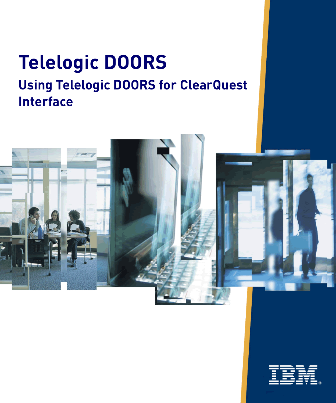# **Telelogic DOORS Using Telelogic DOORS for ClearQuest Interface**



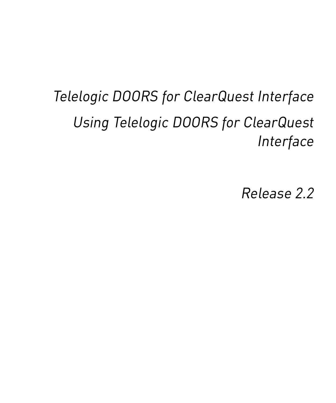# *Telelogic DOORS for ClearQuest Interface Using Telelogic DOORS for ClearQuest Interface*

*Release 2.2*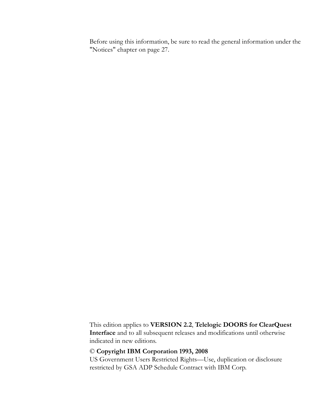Before using this information, be sure to read the general information under the ["Notices" chapter on page 27.](#page-32-0)

This edition applies to **VERSION 2.2**, **Telelogic DOORS for ClearQuest Interface** and to all subsequent releases and modifications until otherwise indicated in new editions.

#### © **Copyright IBM Corporation 1993, 2008**

US Government Users Restricted Rights—Use, duplication or disclosure restricted by GSA ADP Schedule Contract with IBM Corp.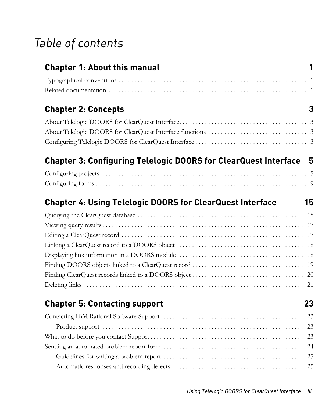# *Table of contents*

| <b>Chapter 1: About this manual</b>                                      | 1 |
|--------------------------------------------------------------------------|---|
|                                                                          |   |
|                                                                          |   |
| <b>Chapter 2: Concepts</b>                                               | 3 |
|                                                                          |   |
|                                                                          |   |
|                                                                          |   |
| <b>Chapter 3: Configuring Telelogic DOORS for ClearQuest Interface 5</b> |   |
|                                                                          |   |
|                                                                          |   |
| <b>Chapter 4: Using Telelogic DOORS for ClearQuest Interface</b><br>15   |   |
|                                                                          |   |
|                                                                          |   |
|                                                                          |   |
|                                                                          |   |
|                                                                          |   |
|                                                                          |   |
|                                                                          |   |
|                                                                          |   |
| <b>Chapter 5: Contacting support</b><br>23                               |   |
|                                                                          |   |
|                                                                          |   |
|                                                                          |   |
|                                                                          |   |
|                                                                          |   |
|                                                                          |   |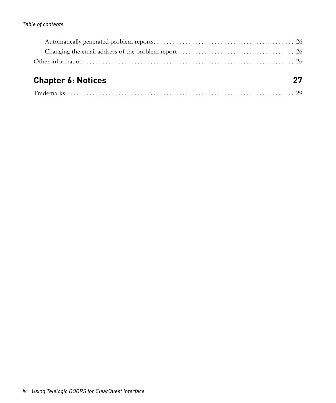# **[Chapter 6: Notices 27](#page-32-1)**

| $\sqrt{1}$ |
|------------|
|------------|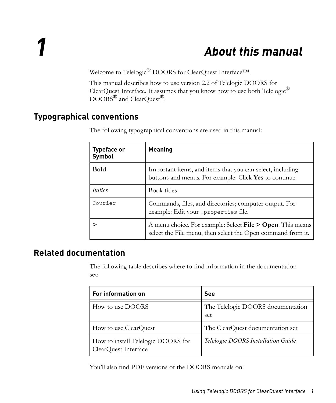# *1 About this manual*

<span id="page-6-0"></span>Welcome to Telelogic® DOORS for ClearQuest Interface™.

This manual describes how to use version 2.2 of Telelogic DOORS for ClearQuest Interface. It assumes that you know how to use both Telelogic $^{\circledR}$  $\overline{\mathrm{DOORS}}^{\circledR}$  and  $\mathrm{ClearQuest}^{\circledR}$ .

## <span id="page-6-1"></span>**Typographical conventions**

| <b>Typeface or</b><br>Symbol | <b>Meaning</b>                                                                                                            |
|------------------------------|---------------------------------------------------------------------------------------------------------------------------|
| <b>Bold</b>                  | Important items, and items that you can select, including<br>buttons and menus. For example: Click Yes to continue.       |
| <i>Italics</i>               | Book titles                                                                                                               |
| Courier                      | Commands, files, and directories; computer output. For<br>example: Edit your . properties file.                           |
|                              | A menu choice. For example: Select File > Open. This means<br>select the File menu, then select the Open command from it. |

The following typographical conventions are used in this manual:

## <span id="page-6-2"></span>**Related documentation**

The following table describes where to find information in the documentation set:

| For information on                                         | See                                      |
|------------------------------------------------------------|------------------------------------------|
| How to use DOORS                                           | The Telelogic DOORS documentation<br>set |
| How to use ClearQuest                                      | The ClearQuest documentation set         |
| How to install Telelogic DOORS for<br>ClearQuest Interface | Telelogic DOORS Installation Guide       |

You'll also find PDF versions of the DOORS manuals on: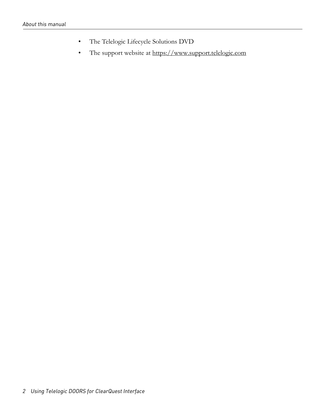- The Telelogic Lifecycle Solutions DVD
- The support website at https://www.support.telelogic.com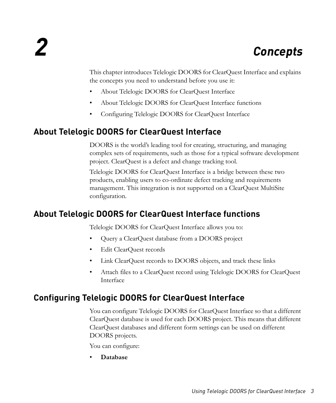# <span id="page-8-0"></span>*2 Concepts*

This chapter introduces Telelogic DOORS for ClearQuest Interface and explains the concepts you need to understand before you use it:

- [About Telelogic DOORS for ClearQuest Interface](#page-8-1)
- [About Telelogic DOORS for ClearQuest Interface functions](#page-8-2)
- [Configuring Telelogic DOORS for ClearQuest Interface](#page-8-3)

# <span id="page-8-6"></span><span id="page-8-1"></span>**About Telelogic DOORS for ClearQuest Interface**

DOORS is the world's leading tool for creating, structuring, and managing complex sets of requirements, such as those for a typical software development project. ClearQuest is a defect and change tracking tool.

Telelogic DOORS for ClearQuest Interface is a bridge between these two products, enabling users to co-ordinate defect tracking and requirements management. This integration is not supported on a ClearQuest MultiSite configuration.

## <span id="page-8-5"></span><span id="page-8-2"></span>**About Telelogic DOORS for ClearQuest Interface functions**

Telelogic DOORS for ClearQuest Interface allows you to:

- Query a ClearQuest database from a DOORS project
- Edit ClearQuest records
- Link ClearQuest records to DOORS objects, and track these links
- Attach files to a ClearQuest record using Telelogic DOORS for ClearQuest Interface

## <span id="page-8-4"></span><span id="page-8-3"></span>**Configuring Telelogic DOORS for ClearQuest Interface**

You can configure Telelogic DOORS for ClearQuest Interface so that a different ClearQuest database is used for each DOORS project. This means that different ClearQuest databases and different form settings can be used on different DOORS projects.

You can configure:

• **Database**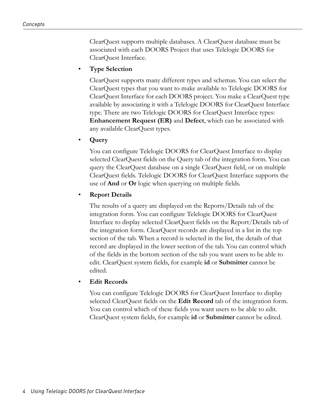ClearQuest supports multiple databases. A ClearQuest database must be associated with each DOORS Project that uses Telelogic DOORS for ClearQuest Interface.

#### • **Type Selection**

ClearQuest supports many different types and schemas. You can select the ClearQuest types that you want to make available to Telelogic DOORS for ClearQuest Interface for each DOORS project. You make a ClearQuest type available by associating it with a Telelogic DOORS for ClearQuest Interface type. There are two Telelogic DOORS for ClearQuest Interface types: **Enhancement Request (ER)** and **Defect**, which can be associated with any available ClearQuest types.

#### • **Query**

You can configure Telelogic DOORS for ClearQuest Interface to display selected ClearQuest fields on the Query tab of the integration form. You can query the ClearQuest database on a single ClearQuest field, or on multiple ClearQuest fields. Telelogic DOORS for ClearQuest Interface supports the use of **And** or **Or** logic when querying on multiple fields.

#### • **Report Details**

The results of a query are displayed on the Reports/Details tab of the integration form. You can configure Telelogic DOORS for ClearQuest Interface to display selected ClearQuest fields on the Report/Details tab of the integration form. ClearQuest records are displayed in a list in the top section of the tab. When a record is selected in the list, the details of that record are displayed in the lower section of the tab. You can control which of the fields in the bottom section of the tab you want users to be able to edit. ClearQuest system fields, for example **id** or **Submitter** cannot be edited.

#### • **Edit Records**

You can configure Telelogic DOORS for ClearQuest Interface to display selected ClearQuest fields on the **Edit Record** tab of the integration form. You can control which of these fields you want users to be able to edit. ClearQuest system fields, for example **id** or **Submitter** cannot be edited.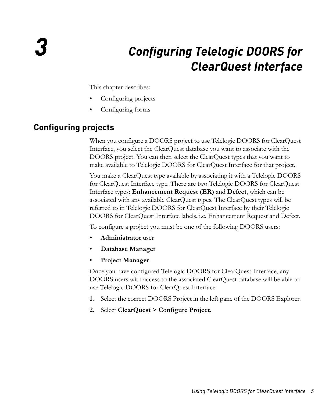# *3 Configuring Telelogic DOORS for ClearQuest Interface*

<span id="page-10-0"></span>This chapter describes:

- [Configuring projects](#page-10-1)
- [Configuring forms](#page-14-0)

# <span id="page-10-2"></span><span id="page-10-1"></span>**Configuring projects**

When you configure a DOORS project to use Telelogic DOORS for ClearQuest Interface, you select the ClearQuest database you want to associate with the DOORS project. You can then select the ClearQuest types that you want to make available to Telelogic DOORS for ClearQuest Interface for that project.

You make a ClearQuest type available by associating it with a Telelogic DOORS for ClearQuest Interface type. There are two Telelogic DOORS for ClearQuest Interface types: **Enhancement Request (ER)** and **Defect**, which can be associated with any available ClearQuest types. The ClearQuest types will be referred to in Telelogic DOORS for ClearQuest Interface by their Telelogic DOORS for ClearQuest Interface labels, i.e. Enhancement Request and Defect.

To configure a project you must be one of the following DOORS users:

- **Administrator** user
- **Database Manager**
- **Project Manager**

Once you have configured Telelogic DOORS for ClearQuest Interface, any DOORS users with access to the associated ClearQuest database will be able to use Telelogic DOORS for ClearQuest Interface.

- **1.** Select the correct DOORS Project in the left pane of the DOORS Explorer.
- **2.** Select **ClearQuest > Configure Project**.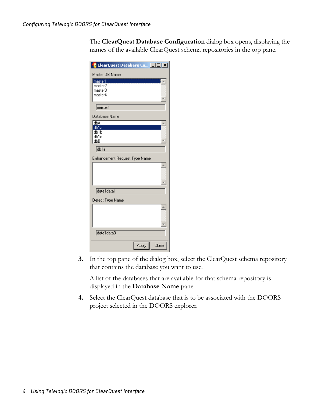The **ClearQuest Database Configuration** dialog box opens, displaying the names of the available ClearQuest schema repositories in the top pane.

| <b>ClearQuest</b> Database Co <b>_ O X</b> |
|--------------------------------------------|
| Master DB Name                             |
| master1                                    |
| master2                                    |
| master3<br>master4                         |
|                                            |
| master1                                    |
| Database Name                              |
| dbA                                        |
| db1a<br>db <sub>1</sub> b                  |
| db1c                                       |
| dbB                                        |
| db1a                                       |
| Enhancement Request Type Name              |
| $\blacktriangle$                           |
|                                            |
|                                            |
|                                            |
| data1data1                                 |
| Defect Type Name                           |
| A.                                         |
|                                            |
|                                            |
|                                            |
| data1data3                                 |
|                                            |
| Close<br><b>Apply</b>                      |

**3.** In the top pane of the dialog box, select the ClearQuest schema repository that contains the database you want to use.

A list of the databases that are available for that schema repository is displayed in the **Database Name** pane.

**4.** Select the ClearQuest database that is to be associated with the DOORS project selected in the DOORS explorer.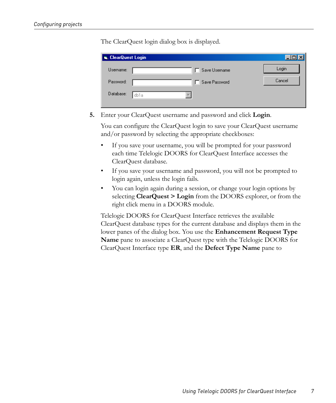The ClearQuest login dialog box is displayed.

| , ClearQuest Login |               |        |  |  |
|--------------------|---------------|--------|--|--|
| Username:          | Save Username | Login  |  |  |
| Password:          | Save Password | Cancel |  |  |
| Database:          | db1a          |        |  |  |
|                    |               |        |  |  |

**5.** Enter your ClearQuest username and password and click **Login**.

You can configure the ClearQuest login to save your ClearQuest username and/or password by selecting the appropriate checkboxes:

- If you save your username, you will be prompted for your password each time Telelogic DOORS for ClearQuest Interface accesses the ClearQuest database.
- If you save your username and password, you will not be prompted to login again, unless the login fails.
- You can login again during a session, or change your login options by selecting **ClearQuest > Login** from the DOORS explorer, or from the right click menu in a DOORS module.

Telelogic DOORS for ClearQuest Interface retrieves the available ClearQuest database types for the current database and displays them in the lower panes of the dialog box. You use the **Enhancement Request Type Name** pane to associate a ClearQuest type with the Telelogic DOORS for ClearQuest Interface type **ER**, and the **Defect Type Name** pane to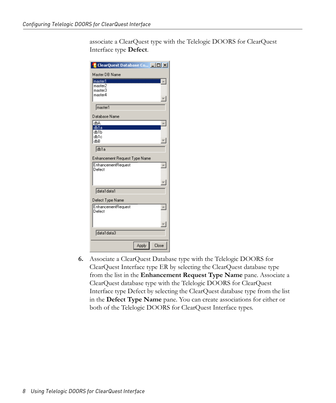associate a ClearQuest type with the Telelogic DOORS for ClearQuest Interface type **Defect**.

| <b>ClearQuest Database Co</b> DIX        |  |
|------------------------------------------|--|
| Master DB Name                           |  |
| master1                                  |  |
| master2                                  |  |
| master3                                  |  |
| master4                                  |  |
| master1                                  |  |
| Database Name                            |  |
| dbA                                      |  |
| db1a                                     |  |
| dh1h<br>db1c                             |  |
| dbB                                      |  |
|                                          |  |
| db1a                                     |  |
| Enhancement Request Type Name            |  |
| <b>EnhancementRequest</b><br>$\triangle$ |  |
| Defect                                   |  |
|                                          |  |
|                                          |  |
| data1data1                               |  |
| Defect Type Name                         |  |
| <b>EnhancementRequest</b><br>A           |  |
| Defect                                   |  |
|                                          |  |
|                                          |  |
|                                          |  |
| data1data3                               |  |
| Close<br>Apply                           |  |
|                                          |  |

**6.** Associate a ClearQuest Database type with the Telelogic DOORS for ClearQuest Interface type ER by selecting the ClearQuest database type from the list in the **Enhancement Request Type Name** pane. Associate a ClearQuest database type with the Telelogic DOORS for ClearQuest Interface type Defect by selecting the ClearQuest database type from the list in the **Defect Type Name** pane. You can create associations for either or both of the Telelogic DOORS for ClearQuest Interface types.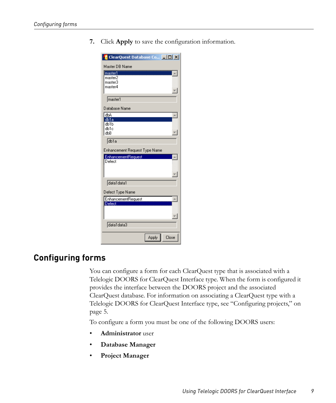**7.** Click **Apply** to save the configuration information.

| <b>E</b> ClearQuest Database Co <b>E E X</b> |
|----------------------------------------------|
| Master DB Name                               |
| ------------------<br>imaster1               |
| master2                                      |
| master3<br>master4                           |
|                                              |
| master1                                      |
| Database Name                                |
| dbA                                          |
| db1a<br>db1b                                 |
| db1c                                         |
| dЫB                                          |
| db1a                                         |
| Enhancement Request Type Name                |
| <b>EnhancementRequest</b>                    |
| Defect                                       |
|                                              |
|                                              |
| data1data1                                   |
| Defect Type Name                             |
| <b>EnhancementRequest</b>                    |
| Defect                                       |
|                                              |
|                                              |
| data1data3                                   |
| Close<br>Apply                               |
|                                              |

#### <span id="page-14-1"></span><span id="page-14-0"></span>**Configuring forms**

You can configure a form for each ClearQuest type that is associated with a Telelogic DOORS for ClearQuest Interface type. When the form is configured it provides the interface between the DOORS project and the associated ClearQuest database. For information on associating a ClearQuest type with a Telelogic DOORS for ClearQuest Interface type, see ["Configuring projects," on](#page-10-1)  [page 5.](#page-10-1)

To configure a form you must be one of the following DOORS users:

- **Administrator** user
- **Database Manager**
- **Project Manager**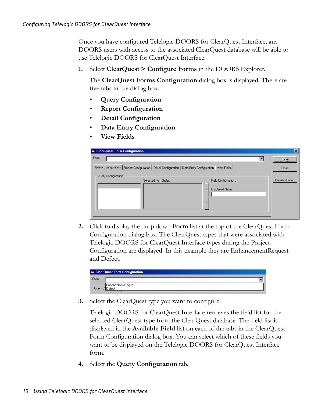Once you have configured Telelogic DOORS for ClearQuest Interface, any DOORS users with access to the associated ClearQuest database will be able to use Telelogic DOORS for ClearQuest Interface.

**1.** Select **ClearQuest > Configure Forms** in the DOORS Explorer.

The **ClearQuest Forms Configuration** dialog box is displayed. There are five tabs in the dialog box:

- **Query Configuration**
- **Report Configuration**
- **Detail Configuration**
- **Data Entry Configuration**
- **View Fields**

| ClearQuest Form Configuration                                                                              | $\vert x \vert$                               |
|------------------------------------------------------------------------------------------------------------|-----------------------------------------------|
| Form:                                                                                                      | Save<br>------------------------------------- |
| Query Configuration   Report Configuration   Detail Configuration   Data Entry Configuration   View Fields | Close                                         |
| Query Configuration<br>Selected Item Order:<br>Field Configuration:<br>Displayed Name:                     | Preview Form                                  |
|                                                                                                            |                                               |
|                                                                                                            |                                               |

**2.** Click to display the drop down **Form** list at the top of the ClearQuest Form Configuration dialog box. The ClearQuest types that were associated with Telelogic DOORS for ClearQuest Interface types during the Project Configuration are displayed. In this example they are EnhancementRequest and Defect.

|       | <b>G.</b> ClearQuest Form Configuration |  |
|-------|-----------------------------------------|--|
| Form: |                                         |  |
|       | EnhancementRequest<br>Query CoDefect    |  |

**3.** Select the ClearQuest type you want to configure.

Telelogic DOORS for ClearQuest Interface retrieves the field list for the selected ClearQuest type from the ClearQuest database. The field list is displayed in the **Available Field** list on each of the tabs in the ClearQuest Form Configuration dialog box. You can select which of these fields you want to be displayed on the Telelogic DOORS for ClearQuest Interface form.

**4.** Select the **Query Configuration** tab.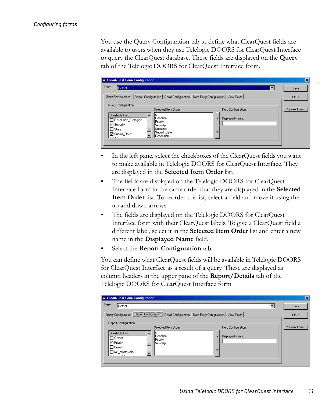You use the Query Configuration tab to define what ClearQuest fields are available to users when they use Telelogic DOORS for ClearQuest Interface to query the ClearQuest database. These fields are displayed on the **Query** tab of the Telelogic DOORS for ClearQuest Interface form.

| <b>E.</b> ClearQuest Form Configuration                                                                                                                                                                                                                                                                                           | $\vert x \vert$ |
|-----------------------------------------------------------------------------------------------------------------------------------------------------------------------------------------------------------------------------------------------------------------------------------------------------------------------------------|-----------------|
| Form:<br>Defect<br>▼                                                                                                                                                                                                                                                                                                              | Save            |
| Query Configuration   Report Configuration   Detail Configuration   Data Entry Configuration   View Fields                                                                                                                                                                                                                        | Close           |
| Query Configuration<br>Selected Item Order:<br>Field Configuration:<br>lid<br>Available Field<br>Headline<br>Displayed Name:<br>$\blacktriangle$<br>Resolution Statetype<br>Priority<br><b>☑</b> Severity<br>Severity<br>Submitter<br>$\Box$ State<br>Submit Date<br>▼<br><b>□</b> Submit Date<br>Resolution<br><b>Production</b> | Preview Form    |

- In the left pane, select the checkboxes of the ClearQuest fields you want to make available in Telelogic DOORS for ClearQuest Interface. They are displayed in the **Selected Item Order** list.
- The fields are displayed on the Telelogic DOORS for ClearQuest Interface form in the same order that they are displayed in the **Selected Item Order** list. To reorder the list, select a field and move it using the up and down arrows.
- The fields are displayed on the Telelogic DOORS for ClearQuest Interface form with their ClearQuest labels. To give a ClearQuest field a different label, select it in the **Selected Item Order** list and enter a new name in the **Displayed Name** field.
- Select the **Report Configuration** tab.

You can define what ClearQuest fields will be available in Telelogic DOORS for ClearQuest Interface as a result of a query. These are displayed as column headers in the upper pane of the **Report/Details** tab of the Telelogic DOORS for ClearQuest Interface form

| <b>E.</b> ClearQuest Form Configuration                                                                                                          | $ \mathbf{x} $ |
|--------------------------------------------------------------------------------------------------------------------------------------------------|----------------|
| Form:<br>Defect                                                                                                                                  | Save           |
| Query Configuration   Report Configuration   Detail Configuration   Data Entry Configuration   View Fields                                       | <b>Close</b>   |
| Report Configuration<br>Selected Item Order:<br>Field Configuration:<br>id<br>Available Field<br>Headline<br>Displayed Name:<br>$\blacktriangle$ | Preview Form   |
| ∩ 0wner<br>Priority<br>D Priority<br>Severity<br>$\Box$ Project<br>▼                                                                             |                |
| $\Box$ ratl_mastership<br>$\overline{\phantom{0}}$<br>$\sim$                                                                                     |                |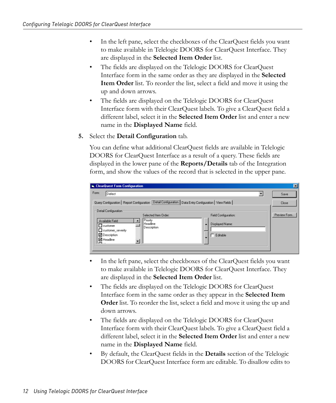- In the left pane, select the checkboxes of the ClearQuest fields you want to make available in Telelogic DOORS for ClearQuest Interface. They are displayed in the **Selected Item Order** list.
- The fields are displayed on the Telelogic DOORS for ClearQuest Interface form in the same order as they are displayed in the **Selected Item Order** list. To reorder the list, select a field and move it using the up and down arrows.
- The fields are displayed on the Telelogic DOORS for ClearQuest Interface form with their ClearQuest labels. To give a ClearQuest field a different label, select it in the **Selected Item Order** list and enter a new name in the **Displayed Name** field.
- **5.** Select the **Detail Configuration** tab.

You can define what additional ClearQuest fields are available in Telelogic DOORS for ClearQuest Interface as a result of a query. These fields are displayed in the lower pane of the **Reports/Details** tab of the Integration form, and show the values of the record that is selected in the upper pane.

| ClearQuest Form Configuration                                                                                               | $\overline{\mathbf{x}}$ |
|-----------------------------------------------------------------------------------------------------------------------------|-------------------------|
| Form:<br>Defect                                                                                                             | Save                    |
| Query Configuration   Report Configuration   Detail Configuration   Data Entry Configuration   View Fields                  | Close                   |
| Detail Configuration<br>Selected Item Order:<br>Field Configuration:<br>Priority                                            | Preview Form            |
| Available Field<br>l Headline<br>Displayed Name:<br>$\blacktriangle$<br>$\Box$ customer<br>Description<br>customer severity |                         |
| <b>□</b> Description<br>Editable<br>$\overline{\phantom{a}}$<br><b>☑</b> Headline                                           |                         |
| $\sim$                                                                                                                      |                         |

- In the left pane, select the checkboxes of the ClearQuest fields you want to make available in Telelogic DOORS for ClearQuest Interface. They are displayed in the **Selected Item Order** list.
- The fields are displayed on the Telelogic DOORS for ClearQuest Interface form in the same order as they appear in the **Selected Item Order** list. To reorder the list, select a field and move it using the up and down arrows.
- The fields are displayed on the Telelogic DOORS for ClearQuest Interface form with their ClearQuest labels. To give a ClearQuest field a different label, select it in the **Selected Item Order** list and enter a new name in the **Displayed Name** field.
- By default, the ClearQuest fields in the **Details** section of the Telelogic DOORS for ClearQuest Interface form are editable. To disallow edits to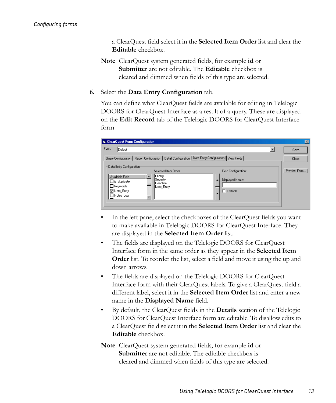a ClearQuest field select it in the **Selected Item Order** list and clear the **Editable** checkbox.

**Note** ClearQuest system generated fields, for example **id** or **Submitter** are not editable. The **Editable** checkbox is cleared and dimmed when fields of this type are selected.

#### **6.** Select the **Data Entry Configuration** tab.

You can define what ClearQuest fields are available for editing in Telelogic DOORS for ClearQuest Interface as a result of a query. These are displayed on the **Edit Record** tab of the Telelogic DOORS for ClearQuest Interface form

| <b>E.</b> ClearQuest Form Configuration                                                                                                                                                                                                                                          | $\vert x \vert$ |
|----------------------------------------------------------------------------------------------------------------------------------------------------------------------------------------------------------------------------------------------------------------------------------|-----------------|
| Form:<br>Defect                                                                                                                                                                                                                                                                  | Save            |
| Query Configuration   Report Configuration   Detail Configuration   Data Entry Configuration   View Fields                                                                                                                                                                       | Close           |
| Data Entry Configuration<br>Selected Item Order:<br>Field Configuration:<br>Priority<br>Available Field<br>Severity<br>Displayed Name:<br>$\Box$ is_duplicate<br>Headline<br>Keywords<br>Note Entry<br>■ Note_Entry<br>Editable<br>Notes Log<br>$\overline{\phantom{0}}$<br>$ -$ | Preview Form    |

- In the left pane, select the checkboxes of the ClearQuest fields you want to make available in Telelogic DOORS for ClearQuest Interface. They are displayed in the **Selected Item Order** list.
- The fields are displayed on the Telelogic DOORS for ClearQuest Interface form in the same order as they appear in the **Selected Item Order** list. To reorder the list, select a field and move it using the up and down arrows.
- The fields are displayed on the Telelogic DOORS for ClearQuest Interface form with their ClearQuest labels. To give a ClearQuest field a different label, select it in the **Selected Item Order** list and enter a new name in the **Displayed Name** field.
- By default, the ClearQuest fields in the **Details** section of the Telelogic DOORS for ClearQuest Interface form are editable. To disallow edits to a ClearQuest field select it in the **Selected Item Order** list and clear the **Editable** checkbox.
- **Note** ClearQuest system generated fields, for example **id** or **Submitter** are not editable. The editable checkbox is cleared and dimmed when fields of this type are selected.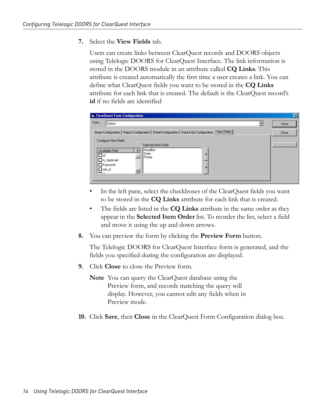**7.** Select the **View Fields** tab.

Users can create links between ClearQuest records and DOORS objects using Telelogic DOORS for ClearQuest Interface. The link information is stored in the DOORS module in an attribute called **CQ Links**. This attribute is created automatically the first time a user creates a link. You can define what ClearQuest fields you want to be stored in the **CQ Links** attribute for each link that is created. The default is the ClearQuest record's **id** if no fields are identified

| ClearQuest Form Configuration                                                                                                                                                                    | $\overline{\mathbf{x}}$ |
|--------------------------------------------------------------------------------------------------------------------------------------------------------------------------------------------------|-------------------------|
| Form:<br>Defect                                                                                                                                                                                  | Save                    |
| Query Configuration   Report Configuration   Detail Configuration   Data Entry Configuration   View Fields                                                                                       | Close                   |
| Configure View Fields<br>Selected Item Order:<br>l Headline<br>Available Field<br>State<br>٠<br>$\Box$ id<br>Priority<br>$\Box$ is_duplicate<br>E Keywords<br>▼<br>$\Box$ old_id<br>$\mathbf{m}$ | Preview Form            |

- In the left pane, select the checkboxes of the ClearQuest fields you want to be stored in the **CQ Links** attribute for each link that is created.
- The fields are listed in the **CQ Links** attribute in the same order as they appear in the **Selected Item Order** list. To reorder the list, select a field and move it using the up and down arrows.
- **8.** You can preview the form by clicking the **Preview Form** button.

The Telelogic DOORS for ClearQuest Interface form is generated, and the fields you specified during the configuration are displayed.

- **9.** Click **Close** to close the Preview form.
	- **Note** You can query the ClearQuest database using the Preview form, and records matching the query will display. However, you cannot edit any fields when in Preview mode.
- **10.** Click **Save**, then **Close** in the ClearQuest Form Configuration dialog box.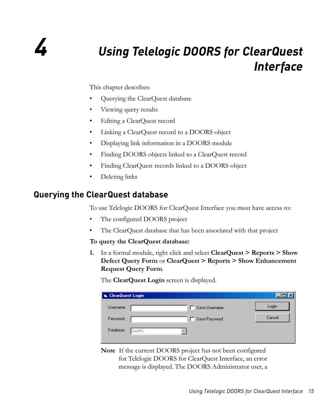# <span id="page-20-0"></span>*4 Using Telelogic DOORS for ClearQuest Interface*

This chapter describes:

- [Querying the ClearQuest database](#page-20-1)
- [Viewing query results](#page-22-0)
- [Editing a ClearQuest record](#page-22-1)
- [Linking a ClearQuest record to a DOORS object](#page-23-0)
- [Displaying link information in a DOORS module](#page-23-1)
- [Finding DOORS objects linked to a ClearQuest record](#page-24-0)
- [Finding ClearQuest records linked to a DOORS object](#page-25-0)
- [Deleting links](#page-26-0)

## <span id="page-20-2"></span><span id="page-20-1"></span>**Querying the ClearQuest database**

To use Telelogic DOORS for ClearQuest Interface you must have access to:

- The configured DOORS project
- The ClearQuest database that has been associated with that project

#### **To query the ClearQuest database:**

**1.** In a formal module, right click and select **ClearQuest > Reports > Show Defect Query Form** or **ClearQuest > Reports > Show Enhancement Request Query Form**.

The **ClearQuest Login** screen is displayed.

| <b>G.</b> ClearQuest Login |                |        |
|----------------------------|----------------|--------|
| Username:                  | Save Username  | Login  |
| Password:                  | Save Password  | Cancel |
| Database:                  | <b>I</b> SAMPL |        |
|                            |                |        |

**Note** If the current DOORS project has not been configured for Telelogic DOORS for ClearQuest Interface, an error message is displayed. The DOORS Administrator user, a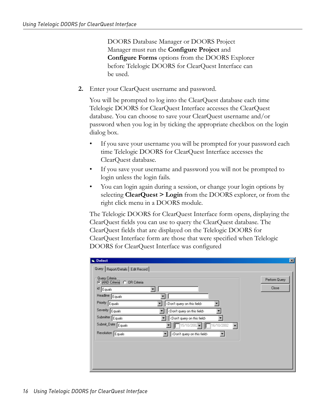DOORS Database Manager or DOORS Project Manager must run the **Configure Project** and **Configure Forms** options from the DOORS Explorer before Telelogic DOORS for ClearQuest Interface can be used.

**2.** Enter your ClearQuest username and password.

You will be prompted to log into the ClearQuest database each time Telelogic DOORS for ClearQuest Interface accesses the ClearQuest database. You can choose to save your ClearQuest username and/or password when you log in by ticking the appropriate checkbox on the login dialog box.

- If you save your username you will be prompted for your password each time Telelogic DOORS for ClearQuest Interface accesses the ClearQuest database.
- If you save your username and password you will not be prompted to login unless the login fails.
- You can login again during a session, or change your login options by selecting **ClearQuest > Login** from the DOORS explorer, or from the right click menu in a DOORS module.

The Telelogic DOORS for ClearQuest Interface form opens, displaying the ClearQuest fields you can use to query the ClearQuest database. The ClearQuest fields that are displayed on the Telelogic DOORS for ClearQuest Interface form are those that were specified when Telelogic DOORS for ClearQuest Interface was configured

| <b>S.</b> Defect                                                                                                                                                                                                                                                                                                                                                                                                                                                                                                      | $\vert x \vert$        |
|-----------------------------------------------------------------------------------------------------------------------------------------------------------------------------------------------------------------------------------------------------------------------------------------------------------------------------------------------------------------------------------------------------------------------------------------------------------------------------------------------------------------------|------------------------|
| Query   Report/Details   Edit Record                                                                                                                                                                                                                                                                                                                                                                                                                                                                                  |                        |
| Query Criteria<br>C AND Criteria C OR Criteria<br>id<br>Equals<br>Headline Equals<br>Priority Equals<br><don't field="" on="" query="" this=""><br/>Severity Equals<br/><don't field="" on="" query="" this=""><br/>Submitter Equals<br/><don't field="" on="" query="" this=""><br/>Submit_Date Equals<br/><math>\boxed{15/10/2002}</math> <math>\boxed{16/10/2002}</math><br/><math>\overline{\phantom{a}}</math><br/>Resolution Equals<br/><don't field="" on="" query="" this=""></don't></don't></don't></don't> | Perform Query<br>Close |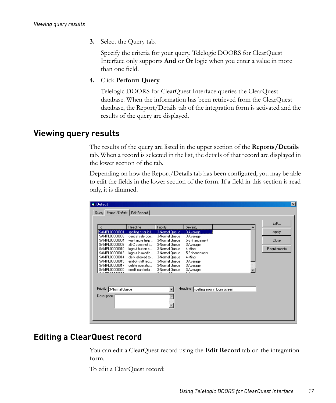**3.** Select the Query tab.

Specify the criteria for your query. Telelogic DOORS for ClearQuest Interface only supports **And** or **Or** logic when you enter a value in more than one field.

**4.** Click **Perform Query**.

Telelogic DOORS for ClearQuest Interface queries the ClearQuest database. When the information has been retrieved from the ClearQuest database, the Report/Details tab of the integration form is activated and the results of the query are displayed.

#### <span id="page-22-3"></span><span id="page-22-0"></span>**Viewing query results**

The results of the query are listed in the upper section of the **Reports/Details** tab. When a record is selected in the list, the details of that record are displayed in the lower section of the tab.

Depending on how the Report/Details tab has been configured, you may be able to edit the fields in the lower section of the form. If a field in this section is read only, it is dimmed.

| id                                        | Headline            | Priority       | Severity      |                                | Edit         |
|-------------------------------------------|---------------------|----------------|---------------|--------------------------------|--------------|
| SAMPL00000001                             | spelling error in I | 3-Normal Queue | 3-Average     |                                | Apply        |
| SAMPL00000003                             | cancel sale doe     | 3-Normal Queue | 3-Average     |                                |              |
| SAMPL00000004                             | want more help      | 3-Normal Queue | 5-Enhancement |                                | Close        |
| SAMPL00000008                             | alt-C does not i    | 3-Normal Queue | 3-Average     |                                |              |
| SAMPL00000010                             | logout button s     | 3-Normal Queue | 4-Minor       |                                | Requirements |
| SAMPL00000013                             | logout in middle    | 3-Normal Queue | 5-Enhancement |                                |              |
| SAMPL00000014                             | clerk allowed to    | 3-Normal Queue | 4-Minor       |                                |              |
| SAMPL00000015                             | end-of-shift rep    | 3-Normal Queue | 3-Average     |                                |              |
| SAMPL00000017                             | delete operatio     | 3-Normal Queue | 3-Average     |                                |              |
| SAMPL00000020                             | credit card refu    | 3-Normal Queue | 3-Average     |                                |              |
| Priority<br>3-Normal Queue<br>Description |                     |                | Headline      | spelling error in login screen |              |

## <span id="page-22-2"></span><span id="page-22-1"></span>**Editing a ClearQuest record**

You can edit a ClearQuest record using the **Edit Record** tab on the integration form.

To edit a ClearQuest record: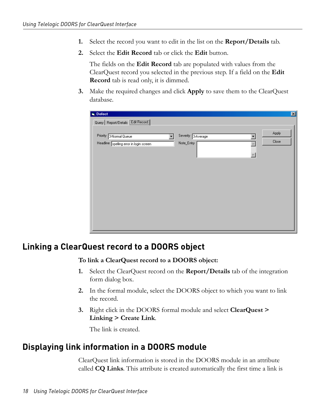- **1.** Select the record you want to edit in the list on the **Report/Details** tab.
- **2.** Select the **Edit Record** tab or click the **Edit** button.

The fields on the **Edit Record** tab are populated with values from the ClearQuest record you selected in the previous step. If a field on the **Edit Record** tab is read only, it is dimmed.

**3.** Make the required changes and click **Apply** to save them to the ClearQuest database.

| <b>is</b> , Defect                                                 |                                       | $\overline{\mathbf{z}}$ |
|--------------------------------------------------------------------|---------------------------------------|-------------------------|
| Query   Report/Details [Edit Record]                               |                                       |                         |
| Priority 3-Normal Queue<br>Headline spelling error in login screen | Severity 3-Average<br>۰<br>Note_Entry | Apply<br>Close          |
|                                                                    |                                       |                         |
|                                                                    |                                       |                         |

#### <span id="page-23-2"></span><span id="page-23-0"></span>**Linking a ClearQuest record to a DOORS object**

**To link a ClearQuest record to a DOORS object:**

- **1.** Select the ClearQuest record on the **Report/Details** tab of the integration form dialog box.
- **2.** In the formal module, select the DOORS object to which you want to link the record.
- **3.** Right click in the DOORS formal module and select **ClearQuest > Linking > Create Link**.

The link is created.

#### <span id="page-23-3"></span><span id="page-23-1"></span>**Displaying link information in a DOORS module**

ClearQuest link information is stored in the DOORS module in an attribute called **CQ Links**. This attribute is created automatically the first time a link is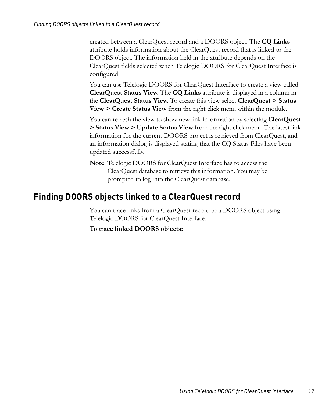created between a ClearQuest record and a DOORS object. The **CQ Links** attribute holds information about the ClearQuest record that is linked to the DOORS object. The information held in the attribute depends on the ClearQuest fields selected when Telelogic DOORS for ClearQuest Interface is configured.

You can use Telelogic DOORS for ClearQuest Interface to create a view called **ClearQuest Status View**. The **CQ Links** attribute is displayed in a column in the **ClearQuest Status View**. To create this view select **ClearQuest > Status View > Create Status View** from the right click menu within the module.

You can refresh the view to show new link information by selecting **ClearQuest > Status View > Update Status View** from the right click menu. The latest link information for the current DOORS project is retrieved from ClearQuest, and an information dialog is displayed stating that the CQ Status Files have been updated successfully.

**Note** Telelogic DOORS for ClearQuest Interface has to access the ClearQuest database to retrieve this information. You may be prompted to log into the ClearQuest database.

#### <span id="page-24-1"></span><span id="page-24-0"></span>**Finding DOORS objects linked to a ClearQuest record**

You can trace links from a ClearQuest record to a DOORS object using Telelogic DOORS for ClearQuest Interface.

**To trace linked DOORS objects:**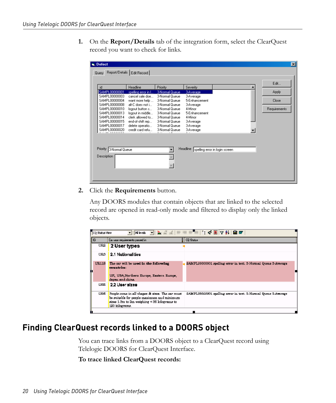**1.** On the **Report/Details** tab of the integration form, select the ClearQuest record you want to check for links.

| id                                     | Headline                           | Priority                         | Severity             |                                | Edit         |
|----------------------------------------|------------------------------------|----------------------------------|----------------------|--------------------------------|--------------|
| SAMPL00000001                          | spelling error in I                | 3-Normal Queue                   | 3-Average            |                                | Apply        |
| SAMPL00000003                          | cancel sale doe                    | 3-Normal Queue                   | 3-Average            |                                |              |
| SAMPL00000004<br>SAMPL00000008         | want more help<br>alt-C does not i | 3-Normal Queue<br>3-Normal Queue | 5-Enhancement        |                                | Close        |
| SAMPL00000010                          | logout button s                    | 3-Normal Queue                   | 3-Average<br>4-Minor |                                | Requirements |
| SAMPL00000013                          | logout in middle                   | 3-Normal Queue                   | 5-Enhancement        |                                |              |
| SAMPL00000014                          | clerk allowed to                   | 3-Normal Queue                   | 4-Minor              |                                |              |
| SAMPL00000015                          | end-of-shift rep                   | 3-Normal Queue                   | 3-Average            |                                |              |
| SAMPL00000017                          | delete operatio                    | 3-Normal Queue                   | 3-Average            |                                |              |
| SAMPL00000020                          | credit card refu                   | 3-Normal Queue                   | 3-Average            |                                |              |
| Priority 3-Normal Queue<br>Description |                                    |                                  | Headline             | spelling error in login screen |              |

**2.** Click the **Requirements** button.

Any DOORS modules that contain objects that are linked to the selected record are opened in read-only mode and filtered to display only the linked objects.

| CO Stable Yew |                                                                                                                                                                     | <mark>▔▏</mark> Alkvak ▔▎▙▁╩▗≟▏⋿▝⋿⋷⋿▔⋿▏▏;ҁ▏█▏∇▏≬▏█▐87          |
|---------------|---------------------------------------------------------------------------------------------------------------------------------------------------------------------|----------------------------------------------------------------|
| <b>ID</b>     | Dai usar requirements penced in                                                                                                                                     | <b>Q</b> CQ Stalus                                             |
| UR2           | 2 User types                                                                                                                                                        |                                                                |
| UR3           | 2.1 Nationalities                                                                                                                                                   |                                                                |
| <b>UR118</b>  | The car will be used in the following<br>countries:<br>UK, USA,Northern Europe, Eastern Europe,<br>Japan and china.                                                 | SAMPLO0000001 spelling error in text. 3-Normal Queus 3-Average |
| <b>LIRE</b>   | 2.2 User sizes                                                                                                                                                      |                                                                |
| <b>LIRS</b>   | People come in all shapes & sizes. The car must<br>be suitable for secole maximum and minimum<br>sizes 1.0m to 3m weighing $\leq$ 35 kilograms to<br>120 kiloerama. | SAMPLO0000001 spelling error in text. S-Normal Queue S-Average |
|               |                                                                                                                                                                     |                                                                |

## <span id="page-25-1"></span><span id="page-25-0"></span>**Finding ClearQuest records linked to a DOORS object**

You can trace links from a DOORS object to a ClearQuest record using Telelogic DOORS for ClearQuest Interface.

**To trace linked ClearQuest records:**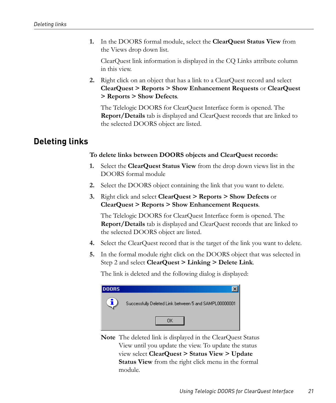**1.** In the DOORS formal module, select the **ClearQuest Status View** from the Views drop down list.

ClearQuest link information is displayed in the CQ Links attribute column in this view.

**2.** Right click on an object that has a link to a ClearQuest record and select **ClearQuest > Reports > Show Enhancement Requests** or **ClearQuest > Reports > Show Defects**.

The Telelogic DOORS for ClearQuest Interface form is opened. The **Report/Details** tab is displayed and ClearQuest records that are linked to the selected DOORS object are listed.

## <span id="page-26-2"></span><span id="page-26-1"></span><span id="page-26-0"></span>**Deleting links**

#### **To delete links between DOORS objects and ClearQuest records:**

- **1.** Select the **ClearQuest Status View** from the drop down views list in the DOORS formal module
- **2.** Select the DOORS object containing the link that you want to delete.
- **3.** Right click and select **ClearQuest > Reports > Show Defects** or **ClearQuest > Reports > Show Enhancement Requests**.

The Telelogic DOORS for ClearQuest Interface form is opened. The **Report/Details** tab is displayed and ClearQuest records that are linked to the selected DOORS object are listed.

- **4.** Select the ClearQuest record that is the target of the link you want to delete.
- **5.** In the formal module right click on the DOORS object that was selected in [Step 2](#page-26-1) and select **ClearQuest > Linking > Delete Link**.

The link is deleted and the following dialog is displayed:



**Note** The deleted link is displayed in the ClearQuest Status View until you update the view. To update the status view select **ClearQuest > Status View > Update Status View** from the right click menu in the formal module.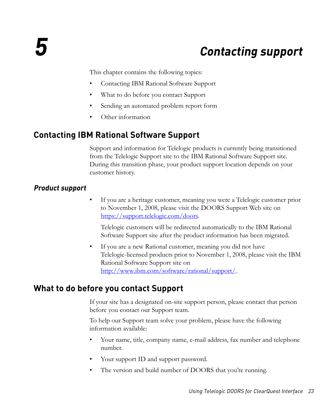# *5 Contacting support*

<span id="page-28-0"></span>This chapter contains the following topics:

- [Contacting IBM Rational Software Support](#page-28-1)
- [What to do before you contact Support](#page-28-3)
- [Sending an automated problem report form](#page-29-0)
- <span id="page-28-4"></span>• [Other information](#page-31-2)

#### <span id="page-28-1"></span>**Contacting IBM Rational Software Support**

Support and information for Telelogic products is currently being transitioned from the Telelogic Support site to the IBM Rational Software Support site. During this transition phase, your product support location depends on your customer history.

#### <span id="page-28-2"></span>*Product support*

• If you are a heritage customer, meaning you were a Telelogic customer prior to November 1, 2008, please visit the DOORS Support Web site on https://support.telelogic.com/doors.

Telelogic customers will be redirected automatically to the IBM Rational Software Support site after the product information has been migrated.

If you are a new Rational customer, meaning you did not have Telelogic-licensed products prior to November 1, 2008, please visit the IBM Rational Software Support site on http://www.ibm.com/software/rational/support/.

#### <span id="page-28-3"></span>**What to do before you contact Support**

If your site has a designated on-site support person, please contact that person before you contact our Support team.

To help our Support team solve your problem, please have the following information available:

- Your name, title, company name, e-mail address, fax number and telephone number.
- Your support ID and support password.
- The version and build number of DOORS that you're running.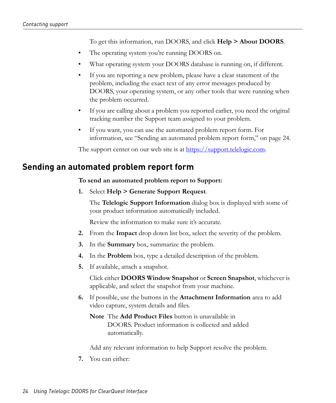To get this information, run DOORS, and click **Help > About DOORS**.

- The operating system you're running DOORS on.
- What operating system your DOORS database is running on, if different.
- If you are reporting a new problem, please have a clear statement of the problem, including the exact text of any error messages produced by DOORS, your operating system, or any other tools that were running when the problem occurred.
- If you are calling about a problem you reported earlier, you need the original tracking number the Support team assigned to your problem.
- If you want, you can use the automated problem report form. For information, see ["Sending an automated problem report form," on page 24.](#page-29-0)

<span id="page-29-1"></span>The support center on our web site is at https://support.telelogic.com.

#### <span id="page-29-0"></span>**Sending an automated problem report form**

**To send an automated problem report to Support:**

**1.** Select **Help > Generate Support Request**.

The **Telelogic Support Information** dialog box is displayed with some of your product information automatically included.

Review the information to make sure it's accurate.

- **2.** From the **Impact** drop down list box, select the severity of the problem.
- **3.** In the **Summary** box, summarize the problem.
- **4.** In the **Problem** box, type a detailed description of the problem.
- **5.** If available, attach a snapshot.

Click either **DOORS Window Snapshot** or **Screen Snapshot**, whichever is applicable, and select the snapshot from your machine.

- **6.** If possible, use the buttons in the **Attachment Information** area to add video capture, system details and files.
	- **Note** The **Add Product Files** button is unavailable in DOORS. Product information is collected and added automatically.

Add any relevant information to help Support resolve the problem.

**7.** You can either: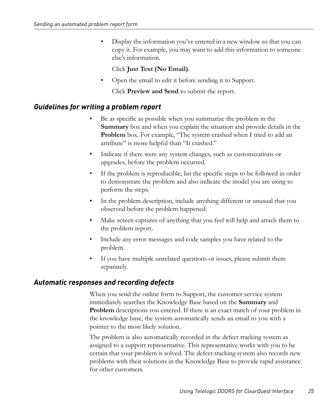• Display the information you've entered in a new window so that you can copy it. For example, you may want to add this information to someone else's information.

#### Click **Just Text (No Email)**.

• Open the email to edit it before sending it to Support.

Click **Preview and Send** to submit the report.

#### <span id="page-30-0"></span>*Guidelines for writing a problem report*

- Be as specific as possible when you summarize the problem in the **Summary** box and when you explain the situation and provide details in the **Problem** box. For example, "The system crashed when I tried to add an attribute" is more helpful than "It crashed."
- Indicate if there were any system changes, such as customizations or upgrades, before the problem occurred.
- If the problem is reproducible, list the specific steps to be followed in order to demonstrate the problem and also indicate the model you are using to perform the steps.
- In the problem description, include anything different or unusual that you observed before the problem happened.
- Make screen captures of anything that you feel will help and attach them to the problem report.
- Include any error messages and code samples you have related to the problem.
- If you have multiple unrelated questions or issues, please submit them separately.

#### <span id="page-30-1"></span>*Automatic responses and recording defects*

When you send the online form to Support, the customer service system immediately searches the Knowledge Base based on the **Summary** and **Problem** descriptions you entered. If there is an exact match of your problem in the knowledge base, the system automatically sends an email to you with a pointer to the most likely solution.

The problem is also automatically recorded in the defect tracking system as assigned to a support representative. This representative works with you to be certain that your problem is solved. The defect tracking system also records new problems with their solutions in the Knowledge Base to provide rapid assistance for other customers.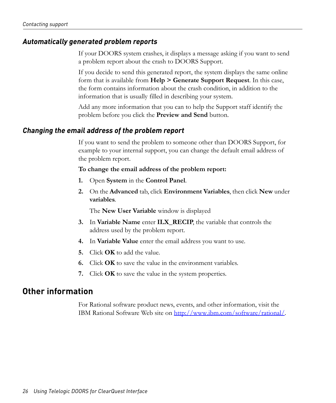#### <span id="page-31-0"></span>*Automatically generated problem reports*

If your DOORS system crashes, it displays a message asking if you want to send a problem report about the crash to DOORS Support.

If you decide to send this generated report, the system displays the same online form that is available from **Help > Generate Support Request**. In this case, the form contains information about the crash condition, in addition to the information that is usually filled in describing your system.

<span id="page-31-3"></span>Add any more information that you can to help the Support staff identify the problem before you click the **Preview and Send** button.

#### <span id="page-31-1"></span>*Changing the email address of the problem report*

If you want to send the problem to someone other than DOORS Support, for example to your internal support, you can change the default email address of the problem report.

#### **To change the email address of the problem report:**

- **1.** Open **System** in the **Control Panel**.
- **2.** On the **Advanced** tab, click **Environment Variables**, then click **New** under **variables**.

The **New User Variable** window is displayed

- **3.** In **Variable Name** enter **ILX\_RECIP**, the variable that controls the address used by the problem report.
- **4.** In **Variable Value** enter the email address you want to use.
- **5.** Click **OK** to add the value.
- **6.** Click **OK** to save the value in the environment variables.
- **7.** Click **OK** to save the value in the system properties.

#### <span id="page-31-2"></span>**Other information**

For Rational software product news, events, and other information, visit the IBM Rational Software Web site on http://www.ibm.com/software/rational/.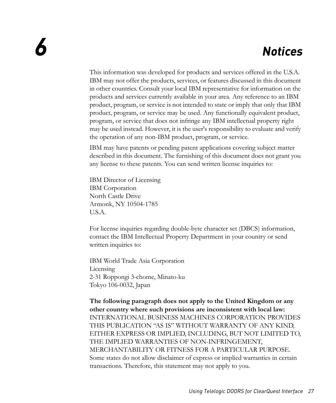# <span id="page-32-1"></span>*6 Notices*

<span id="page-32-0"></span>This information was developed for products and services offered in the U.S.A. IBM may not offer the products, services, or features discussed in this document in other countries. Consult your local IBM representative for information on the products and services currently available in your area. Any reference to an IBM product, program, or service is not intended to state or imply that only that IBM product, program, or service may be used. Any functionally equivalent product, program, or service that does not infringe any IBM intellectual property right may be used instead. However, it is the user's responsibility to evaluate and verify the operation of any non-IBM product, program, or service.

IBM may have patents or pending patent applications covering subject matter described in this document. The furnishing of this document does not grant you any license to these patents. You can send written license inquiries to:

IBM Director of Licensing IBM Corporation North Castle Drive Armonk, NY 10504-1785 U.S.A.

For license inquiries regarding double-byte character set (DBCS) information, contact the IBM Intellectual Property Department in your country or send written inquiries to:

IBM World Trade Asia Corporation Licensing 2-31 Roppongi 3-chome, Minato-ku Tokyo 106-0032, Japan

**The following paragraph does not apply to the United Kingdom or any other country where such provisions are inconsistent with local law:** INTERNATIONAL BUSINESS MACHINES CORPORATION PROVIDES THIS PUBLICATION "AS IS" WITHOUT WARRANTY OF ANY KIND, EITHER EXPRESS OR IMPLIED, INCLUDING, BUT NOT LIMITED TO, THE IMPLIED WARRANTIES OF NON-INFRINGEMENT, MERCHANTABILITY OR FITNESS FOR A PARTICULAR PURPOSE. Some states do not allow disclaimer of express or implied warranties in certain transactions. Therefore, this statement may not apply to you.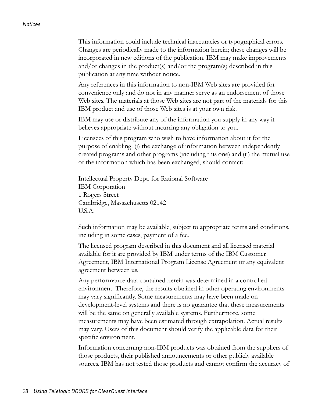This information could include technical inaccuracies or typographical errors. Changes are periodically made to the information herein; these changes will be incorporated in new editions of the publication. IBM may make improvements and/or changes in the product(s) and/or the program(s) described in this publication at any time without notice.

Any references in this information to non-IBM Web sites are provided for convenience only and do not in any manner serve as an endorsement of those Web sites. The materials at those Web sites are not part of the materials for this IBM product and use of those Web sites is at your own risk.

IBM may use or distribute any of the information you supply in any way it believes appropriate without incurring any obligation to you.

Licensees of this program who wish to have information about it for the purpose of enabling: (i) the exchange of information between independently created programs and other programs (including this one) and (ii) the mutual use of the information which has been exchanged, should contact:

Intellectual Property Dept. for Rational Software IBM Corporation 1 Rogers Street Cambridge, Massachusetts 02142 U.S.A.

Such information may be available, subject to appropriate terms and conditions, including in some cases, payment of a fee.

The licensed program described in this document and all licensed material available for it are provided by IBM under terms of the IBM Customer Agreement, IBM International Program License Agreement or any equivalent agreement between us.

Any performance data contained herein was determined in a controlled environment. Therefore, the results obtained in other operating environments may vary significantly. Some measurements may have been made on development-level systems and there is no guarantee that these measurements will be the same on generally available systems. Furthermore, some measurements may have been estimated through extrapolation. Actual results may vary. Users of this document should verify the applicable data for their specific environment.

Information concerning non-IBM products was obtained from the suppliers of those products, their published announcements or other publicly available sources. IBM has not tested those products and cannot confirm the accuracy of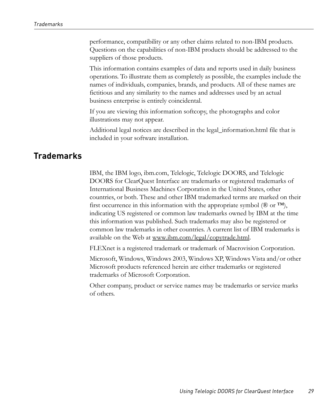performance, compatibility or any other claims related to non-IBM products. Questions on the capabilities of non-IBM products should be addressed to the suppliers of those products.

This information contains examples of data and reports used in daily business operations. To illustrate them as completely as possible, the examples include the names of individuals, companies, brands, and products. All of these names are fictitious and any similarity to the names and addresses used by an actual business enterprise is entirely coincidental.

If you are viewing this information softcopy, the photographs and color illustrations may not appear.

Additional legal notices are described in the legal\_information.html file that is included in your software installation.

#### <span id="page-34-0"></span>**Trademarks**

IBM, the IBM logo, ibm.com, Telelogic, Telelogic DOORS, and Telelogic DOORS for ClearQuest Interface are trademarks or registered trademarks of International Business Machines Corporation in the United States, other countries, or both. These and other IBM trademarked terms are marked on their first occurrence in this information with the appropriate symbol ( $\mathcal{R}$  or  $TM$ ), indicating US registered or common law trademarks owned by IBM at the time this information was published. Such trademarks may also be registered or common law trademarks in other countries. A current list of IBM trademarks is available on the Web at www.ibm.com/legal/copytrade.html.

FLEXnet is a registered trademark or trademark of Macrovision Corporation.

Microsoft, Windows, Windows 2003, Windows XP, Windows Vista and/or other Microsoft products referenced herein are either trademarks or registered trademarks of Microsoft Corporation.

Other company, product or service names may be trademarks or service marks of others.